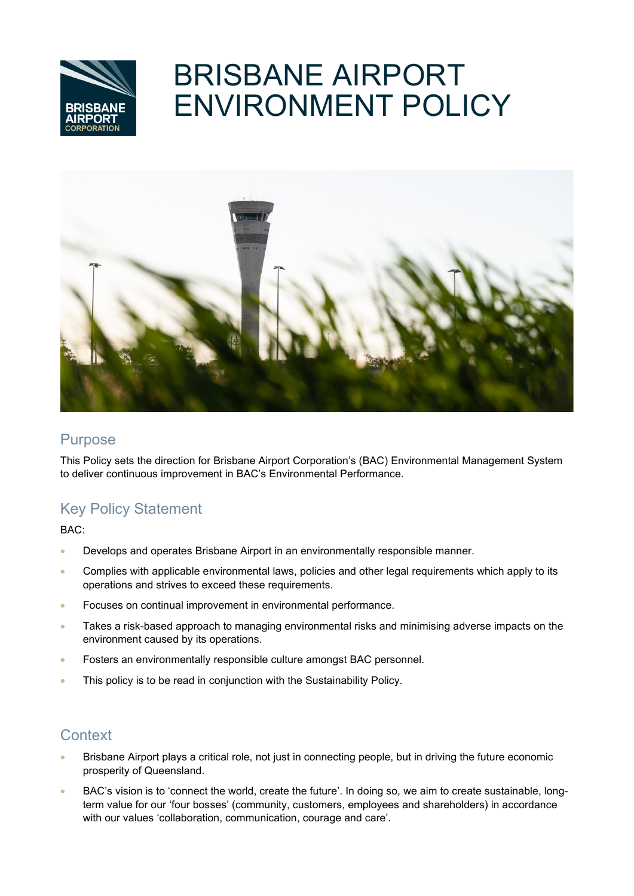

# BRISBANE AIRPORT ENVIRONMENT POLICY



### **Purpose**

This Policy sets the direction for Brisbane Airport Corporation's (BAC) Environmental Management System to deliver continuous improvement in BAC's Environmental Performance.

# Key Policy Statement

BAC:

- Develops and operates Brisbane Airport in an environmentally responsible manner.
- Complies with applicable environmental laws, policies and other legal requirements which apply to its operations and strives to exceed these requirements.
- Focuses on continual improvement in environmental performance.
- Takes a risk-based approach to managing environmental risks and minimising adverse impacts on the environment caused by its operations.
- Fosters an environmentally responsible culture amongst BAC personnel.
- This policy is to be read in conjunction with the Sustainability Policy.

# **Context**

- Brisbane Airport plays a critical role, not just in connecting people, but in driving the future economic prosperity of Queensland.
- BAC's vision is to 'connect the world, create the future'. In doing so, we aim to create sustainable, longterm value for our 'four bosses' (community, customers, employees and shareholders) in accordance with our values 'collaboration, communication, courage and care'.